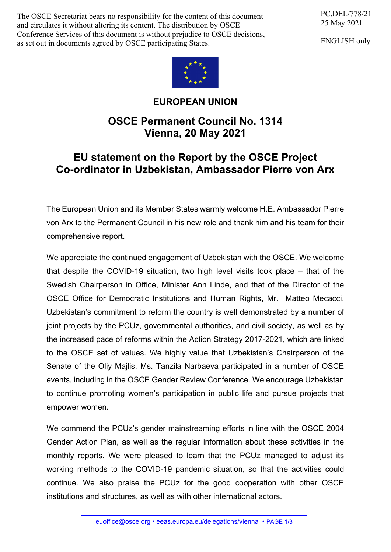The OSCE Secretariat bears no responsibility for the content of this document and circulates it without altering its content. The distribution by OSCE Conference Services of this document is without prejudice to OSCE decisions, as set out in documents agreed by OSCE participating States.

PC.DEL/778/21 25 May 2021

ENGLISH only



## **EUROPEAN UNION**

## **OSCE Permanent Council No. 1314 Vienna, 20 May 2021**

## **EU statement on the Report by the OSCE Project Co-ordinator in Uzbekistan, Ambassador Pierre von Arx**

The European Union and its Member States warmly welcome H.E. Ambassador Pierre von Arx to the Permanent Council in his new role and thank him and his team for their comprehensive report.

We appreciate the continued engagement of Uzbekistan with the OSCE. We welcome that despite the COVID-19 situation, two high level visits took place – that of the Swedish Chairperson in Office, Minister Ann Linde, and that of the Director of the OSCE Office for Democratic Institutions and Human Rights, Mr. Matteo Mecacci. Uzbekistan's commitment to reform the country is well demonstrated by a number of joint projects by the PCUz, governmental authorities, and civil society, as well as by the increased pace of reforms within the Action Strategy 2017-2021, which are linked to the OSCE set of values. We highly value that Uzbekistan's Chairperson of the Senate of the Oliy Majlis, Ms. Tanzila Narbaeva participated in a number of OSCE events, including in the OSCE Gender Review Conference. We encourage Uzbekistan to continue promoting women's participation in public life and pursue projects that empower women.

We commend the PCUz's gender mainstreaming efforts in line with the OSCE 2004 Gender Action Plan, as well as the regular information about these activities in the monthly reports. We were pleased to learn that the PCUz managed to adjust its working methods to the COVID-19 pandemic situation, so that the activities could continue. We also praise the PCUz for the good cooperation with other OSCE institutions and structures, as well as with other international actors.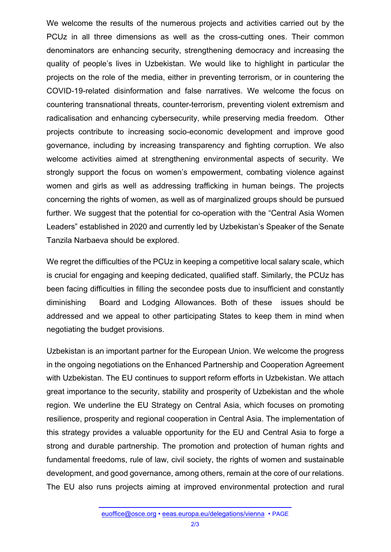We welcome the results of the numerous projects and activities carried out by the PCUz in all three dimensions as well as the cross-cutting ones. Their common denominators are enhancing security, strengthening democracy and increasing the quality of people's lives in Uzbekistan. We would like to highlight in particular the projects on the role of the media, either in preventing terrorism, or in countering the COVID-19-related disinformation and false narratives. We welcome the focus on countering transnational threats, counter-terrorism, preventing violent extremism and radicalisation and enhancing cybersecurity, while preserving media freedom. Other projects contribute to increasing socio-economic development and improve good governance, including by increasing transparency and fighting corruption. We also welcome activities aimed at strengthening environmental aspects of security. We strongly support the focus on women's empowerment, combating violence against women and girls as well as addressing trafficking in human beings. The projects concerning the rights of women, as well as of marginalized groups should be pursued further. We suggest that the potential for co-operation with the "Central Asia Women Leaders" established in 2020 and currently led by Uzbekistan's Speaker of the Senate Tanzila Narbaeva should be explored.

We regret the difficulties of the PCUz in keeping a competitive local salary scale, which is crucial for engaging and keeping dedicated, qualified staff. Similarly, the PCUz has been facing difficulties in filling the secondee posts due to insufficient and constantly diminishing Board and Lodging Allowances. Both of these issues should be addressed and we appeal to other participating States to keep them in mind when negotiating the budget provisions.

Uzbekistan is an important partner for the European Union. We welcome the progress in the ongoing negotiations on the Enhanced Partnership and Cooperation Agreement with Uzbekistan. The EU continues to support reform efforts in Uzbekistan. We attach great importance to the security, stability and prosperity of Uzbekistan and the whole region. We underline the EU Strategy on Central Asia, which focuses on promoting resilience, prosperity and regional cooperation in Central Asia. The implementation of this strategy provides a valuable opportunity for the EU and Central Asia to forge a strong and durable partnership. The promotion and protection of human rights and fundamental freedoms, rule of law, civil society, the rights of women and sustainable development, and good governance, among others, remain at the core of our relations. The EU also runs projects aiming at improved environmental protection and rural